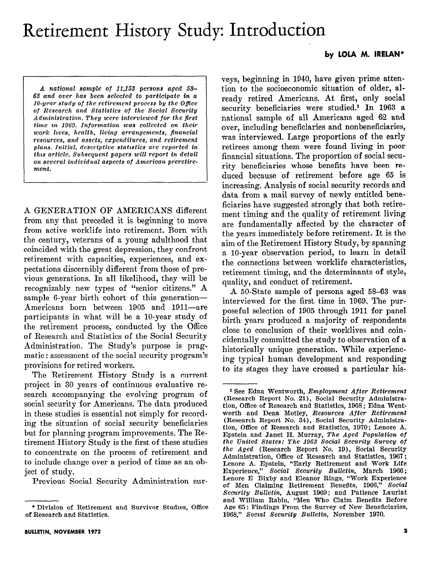## Retirement History Study: Introduction

## by LOLA M. lRELAN\*

A national sample of 11,153 persons aged 5S- $63$  and over has been selected to participate in a  $10$ -year study of the retirement process by the Office of Research and Statistics of the Social Security Administration. They were interviewed for the first time in 1969. Information was collected on their  $work\,\,lives,\,\,health,\,\,living\,\,\,arrangements,\,\,financial$ resources, and assets, expenditures, and retirement plans. Initial, descriptive statistics are reported in thus article. Subsequent papers will report in detail on several individual aspects of American preretirement.

A GENERATION OF AMERICANS different from any that preceded it is beginning to move from active worklife into retirement. Born with the century, veterans of a young adulthood that coincided with the great depression, they confront retirement with capacities, experiences, and expectations discernibly different from those of previous generations. In all likelihood, they will be recognizably new types of "senior citizens." A sample 6-year birth cohort of this generation-Americans born between 1905 and 1911-are participants in what will be a 10-year study of the retirement process, conducted by the Office of Research and Statistics of the Social Security Administration. The Study's purpose is pragmatic: assessment of the social security program's provisions for retired workers.

The Retirement History Study is a current project in 30 years of continuous evaluative research accompanying the evolving program of social security for Americans. The data produced in these studies is essential not simply for recording the situation of social security beneficiaries but for planning program improvements. The Retirement History Study is the first of these studies to concentrate on the process of retirement and to include change over a period of time as an object of study.

Previous Social Security Administration sur-

veys, beginning in 1940, have given prime attention to the socioeconomic situation of older, already retired Americans. At first, only social security beneficiaries were studied.<sup>1</sup> In 1963 a national sample of all Americans aged 62 and over, including beneficiaries and nonbeneficiaries, was interviewed. Large proportions of the early retirees among them were found living in poor financial situations. The proportion of social security beneficiaries whose benefits have been reduced because of retirement before age 65 is increasing. Analysis of social security records and data from a mail survey of newly entitled beneficiaries have suggested strongly that both retirement timing and the quality of retirement living are fundamentally affected by the character of the years immediately before retirement. It is the aim of the Retirement History Study, by spanning a lo-year observation period, to learn in detail the connections between worklife characteristics, retirement timing, and the determinants of style, quality, and conduct of retirement.

A 50-State sample of persons aged 58-63 was interviewed for the first time in 1969. The purposeful selection of 1905 through 1911 for panel birth years produced a majority of respondents close to conclusion of their worklives and coincidentally committed the study to observation of a historically unique generation. While experiencing typical human development and responding to its stages they have crossed a particular his-

<sup>\*</sup> Division of Retirement and Survivor Studies, Office of Research and Statistics.

<sup>&</sup>lt;sup>1</sup> See Edna Wentworth, Employment After Retirement (Research Report No. 21), Social Security Administration, Office of Research and Statistics, 1968 ; Edna Wentworth and Dena Motley, Resources After Retirement (Research Report No. 34), Social Security Administration, Office of Research and Statistics, 1970; Lenore A. Epstein and Janet H. Murray, The Aged Population of the United States: The 1963 Social Security Survey of the Aged (Research Report No. 19), Social Security Administration, Office of Research and Statistics, 1967; Lenore A. Epstein, "Early Retirement and Work Life Experience," Social Security Bulletin, March 1966; Lenore E Bixby and Eleanor Rings, "Work Experience of Men Claiming Retirement Benefits, 1966," Social Seourity Bulletin, August 1969; and Patience Lauriat and William Rabin, "Men Who Claim Benefits Before Age 65: Findings From the Survey of New Beneficiaries, 1968." Social Security Bulletin, November 1970.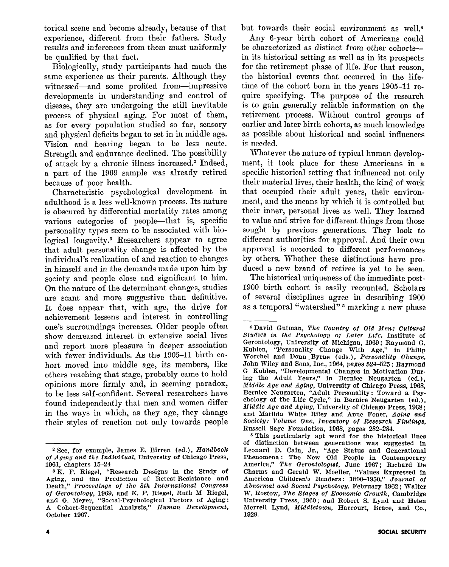torical scene and become already, because of that experience, different from their fathers. Study results and inferences from them must uniformly be qualified by that fact.

Biologically, study participants had much the same experience as their parents. Although they witnessed-and some profited from-impressive developments in understanding and control of disease, they are undergoing the still inevitable process of physical aging. For most of them, as for every population studied so far, sensory and physical deficits began to set in in middle age. Vision and hearing began to be less acute. Strength and endurance declined. The possibility of attack by a chronic illness increased.\* Indeed, a part of the 1969 sample was already retired because of poor health.

Characteristic psychological development in adulthood is a less well-known process. Its nature is obscured by differential mortality rates among various categories of people—that is, specific personality types seem to be associated with biological longevity.<sup>3</sup> Researchers appear to agree that adult personality change is affected by the individual's realization of and reaction to changes in himself and in the demands made upon him by society and people close and significant to him. On the nature of the determinant changes, studies are scant and more suggestive than definitive. It does appear that, with age, the drive for achievement lessens and interest in controlling one's surroundings increases. Older people often show decreased interest in extensive social lives and report more pleasure in deeper association with fewer individuals. As the 1905-11 birth cohort moved into middle age, its members, like others reaching that stage, probably came to hold opinions more firmly and, in seeming paradox, to be less self-confident. Several researchers have found independently that men and women differ in the ways in which, as they age, they change their styles of reaction not only towards people but towards their social environment as well.\*

Any 6-year birth cohort of Americans could be characterized as distinct from other cohortsin its historical setting as well as in its prospects for the retirement phase of life. For that reason, the historical events that occurred in the lifetime of the cohort born in the years 1905-11 require specifying. The purpose of the research is to gain generally reliable information on the retirement process. Without control groups of earlier and later birth cohorts, as much knowledge as possible about historical and social influences is needed.

Whatever the nature of typical human development, it took place for these Americans in a specific historical setting that influenced not only their material lives, their health, the kind of work that occupied their adult years, their environment, and the means by which it is controlled but their inner, personal lives as well. They learned to value and strive for different things from those sought by previous generations. They look to different authorities for approval. And their own approval is accorded to different performances by others. Whether these distinctions have produced a new brand of retiree is yet to be seen.

The historical uniqueness of the immediate post-1900 birth cohort is easily recounted. Scholars of several disciplines agree in describing 1900 as a temporal "watershed"<sup>5</sup> marking a new phase

<sup>&</sup>lt;sup>2</sup> See, for example, James E. Birren (ed.), Handbook of Aging and the Individual, University of Chicago Press, 1961, chapters 15-24

<sup>3</sup> K. F. Riegel, "Research Designs in the Study of Aging, and the Prediction of Retest-Resistance and Death," Proceedings of the 8th International Congress of Gerontology, 1969, and K. F. Riegel, Ruth M Riegel, and G. Meyer, "Social-Psychological Factors of Aging : A Cohort-Sequential Analysis," Human Development, October 1967.

<sup>4</sup> David Gutman, The Country of Old Men: Cultural Studies in the Psychology of Later Life, Institute of Gerontology, University of Michigan, 1969; Raymond G. Kuhlen, "Personality Change With Age," in Philip Worchel and Donn Byrne (eds.), Personality Change, John Wiley and Sons, Inc., 1964, pages 524-525 ; Raymond G Kuhlen, "Developmental Changes in Motivation During the Adult Pears," in Bernice Neugarten (ea.), Middle Age and Aging, University of Chicago Press, 1968, Bernice Neugarten, "Adult Personality: Toward a Psychology of the Life Cycle," in Bernice Neugarten (ed.), Middle Age and Aging, University of Chicago Press, 1968 ; and Matilda White Riley and Anne Foner, Aging and Sociely: Volume One, Inventory of Research Findings, Russell Sage Foundation, 1968, pages 282-284.

<sup>5</sup> This particularly apt word for the historical lines of distinction between generations was suggested in Leonard D. Cain, Jr., "Age Status and Generationa Phenomena: The New Old People in Contemporar America," The Gerontologist, June 1967; Richard De Charms and Gerald W. Moeller, "Values Expressed in American Children's Readers: 1800-1950," Journal of Abnormal and Social Psychology, February 1962; Walter W. Rostow, The Stages of Economic Growth, Cambridge University Press, 1960; and Robert S. Lynd and Helen Merrell Lynd, *Middletown*, Harcourt, Brace, and Co., 1929.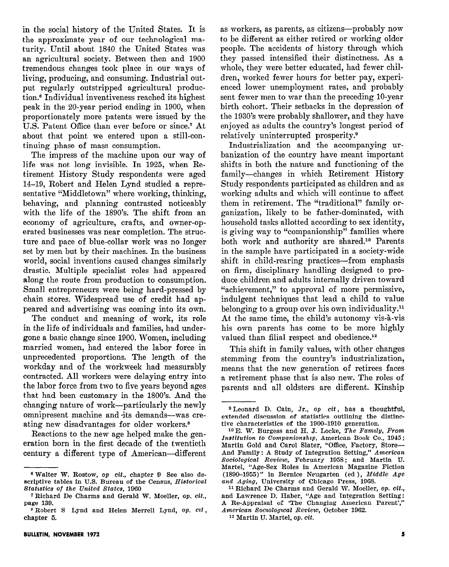in the social history of the United States. It is the approximate year of our technological maturity. Until about 1840 the United States was an agricultural society. Between then and 1900 tremendous changes took place in our ways of living, producing, and consuming. Industrial output regularly outstripped agricultural production.<sup>6</sup> Individual inventiveness reached its highest peak in the 20-year period ending in 1900, when proportionately more patents were issued by the U.S. Patent Office than ever before or since.' At about that point we entered upon a still-continuing phase of mass consumption.

The impress of the machine upon our way of life was not long invisible. In 1925, when Retirement History Study respondents were aged 14-19, Robert and Helen Lynd studied a representative "Middletown" where working, thinking, behaving, and planning contrasted noticeably with the life of the 1890's. The shift from an economy of agriculture, crafts, and owner-operated businesses was near completion. The structure and pace of blue-collar work was no longer set by men but by their machines. In the business world, social inventions caused changes similarly drastic. Multiple specialist roles had appeared along the route from production to consumption. Small entrepreneurs were being hard-pressed by chain stores. Widespread use of credit had appeared and advertising was coming into its own.

The conduct and meaning of work, its role in the life of individuals and families, had undergone a basic change since 1900. Women, including married women, had entered the labor force in unprecedented proportions. The length of the workday and of the workweek had measurably contracted. All workers were delaying entry into the labor force from two to five years beyond ages that had been customary in the 1800's. And the changing nature of work-particularly the newly omnipresent machine and its demands-was creating new disadvantages for older workers.\*

Reactions to the new age helped make the generation born in the first decade of the twentieth century a different type of American-different as workers, as parents, as citizens-probably now to be different as either retired or working older people. The accidents of history through which they passed intensified their distinctness. As a whole, they were better educated, had fewer children, worked fewer hours for better pay, experienced lower unemployment rates, and probably sent fewer men to war than the preceding 10-year birth cohort. Their setbacks in the depression of the 1930's were probably shallower, and they have enjoyed as adults the country's longest period of relatively uninterrupted prosperity.<sup>9</sup>

Industrialization and the accompanying urbanization of the country have meant important shifts in both the nature and functioning of the family-changes in which Retirement History Study respondents participated as children and as working adults and which will continue to affect them in retirement. The "traditional" family organization, likely to be father-dominated, with household tasks allotted according to sex identity, is giving way to "companionship" families where both work and authority are shared.<sup>10</sup> Parents in the sample have participated in a society-wide shift in child-rearing practices-from emphasis on firm, disciplinary handling designed to produce children and adults internally driven toward "achievement," to approval of more permissive. indulgent techniques that lead a child to value belonging to a group over his own individuality.<sup>11</sup> At the same time, the child's autonomy vis-à-vis his own parents has come to be more highly valued than filial respect and obedience.<sup>12</sup>

This shift in family values, with other changes stemming from the country's industrialization, means that the new generation of retirees faces a retirement phase that is also new. The roles of parents and all oldsters are different. Kinship

 $6$  Walter W. Rostow, op cit., chapter 9 See also descriptive tables in U.S. Bureau of the Census, Historical Statistics of the United States, 1960

<sup>&#</sup>x27;Richard De Charms and Gerald W. Moeller, op. cit., page 139.

<sup>&</sup>lt;sup>8</sup> Robert S Lynd and Helen Merrell Lynd, op. cit, chapter 5.

<sup>&</sup>lt;sup>9</sup> Leonard D. Cain, Jr., op cit, has a thoughtful, extended discussion of statistics outlining the distinctive characteristics of the 1900-1910 generation.

 $10 E$ . W. Burgess and H. J. Locke, The Family, From Institution to Companionship, American Book Co., 1945; Martin Gold and Carol Slater, "Office, Factory, Store-And Family: A Study of Integration Setting," American Sociological Review, February 1958; and Martin U. Martel, "Age-Sex Roles in American Magazine Fiction  $(1890-1955)$ " in Bernice Neugarten (ed), Middle Age and Aging, University of Chicago Press, 1968.

<sup>11</sup> Richard De Charms and Gerald W. Moeller, op. cit., and Lawrence D. Haber, "Age and Integration Setting: A Re-Appraisal of 'The Changing American Parent'," American Sociological Review, October 1962.

I2 Martin U. Martel, op. cit.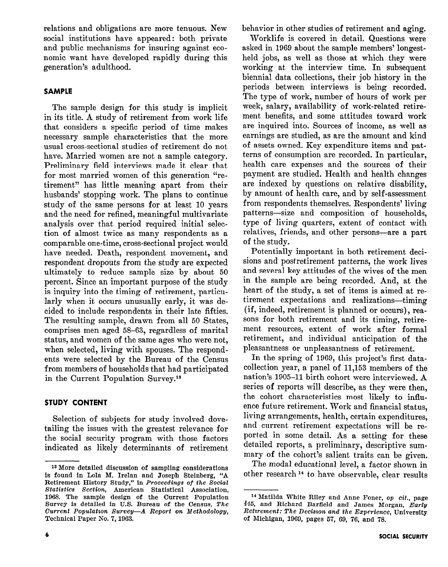relations and obligations are more tenuous. New social institutions have appeared : both private and public mechanisms for insuring against economic want have developed rapidly during this generation's adulthood.

## SAMPLE

The sample design for this study is implicit in its title. A study of retirement from work life that considers a specific period of time makes necessary sample characteristics that the more usual cross-sectional studies of retirement do not have. Married women are not a sample category. Preliminary field interviews made it clear that for most married women of this generation "retirement" has little meaning apart from their husbands' stopping work. The plans to continue study of the same persons for at least 10 years and the need for refined, meaningful multivariate analysis over that period required initial selection of almost twice as many respondents as a comparable one-time, cross-sectional project would have needed. Death, respondent movement, and respondent dropouts from the study are expected ultimately to reduce sample size by about 50 percent. Since an important purpose of the study is inquiry into the timing of retirement, particularly when it occurs unusually early, it was decided to include respondents in their late fifties. The resulting sample, drawn from all 50 States, comprises men aged 58-63, regardless of marital status, and women of the same ages who were not, when selected, living with spouses. The respondents were selected by the Bureau of the Census from members of households that had participated in the Current Population Survey.<sup>13</sup>

## STUDY CONTENT

Selection of subjects for study involved dovetailing the issues with the greatest relevance for the social security program with those factors indicated as likely determinants of retirement behavior in other studies of retirement and aging.

Worklife is covered in detail. Questions were asked in 1969 about the sample members' longestheld jobs, as well as those at which they were working at the interview time. In subsequent biennial data collections, their job history in the periods between interviews is being recorded. The type of work, number of hours of work per week, salary, availability of work-related retirement benefits, and some attitudes toward work are inquired into. Sources of income, as well as earnings are studied, as are the amount and kind of assets owned. Key expenditure items and patterns of consumption are recorded. In particular, health care expenses and the sources of their payment are studied. Health and health changes are indexed by questions on relative disability, by amount of health care, and by self-assessment from respondents themselves. Respondents' living patterns-size and composition of households, type of living quarters, extent of contact with relatives, friends, and other persons-are a part of the study.

Potentially important in both retirement decisions and postretirement patterns, the work lives and several key attitudes of the wives of the men in the sample are being recorded. And, at the heart of the study, a set of items is aimed at retirement expectations and realizations-timing (if, indeed, retirement is planned or occurs), reasons for both retirement and its timing, retirement resources, extent of work after formal retirement, and individual anticipation of the pleasantness or unpleasantness of retirement.

In the spring of 1969, this project's first datacollection year, a panel of 11,153 members of the nation's 1905-11 birth cohort were interviewed, A series of reports will describe, as they were then, the cohort characteristics most likely to influence future retirement. Work and financial status, living arrangements, health, certain expenditures, and current retirement expectations will be reported in some detail. As a setting for these detailed reports, a preliminary, descriptive summary of the cohort's salient traits can be given.

The modal educational level, a factor shown in other research<sup>14</sup> to have observable, clear results

Is More detailed discussion of sampling considerations is found in Lola M. Irelan and Joseph Steinberg, "A Retirement History Study," in Proceedings of the Social Btatislics Section, American Statistical Association, 1968. The sample design of the Current Population Survey is detailed in U.S. Bureau of the Census, The Current Population Survey-A Report on Methodology, Technical Paper No. 7, 1963.

l4 Matilda White Riley and Anne Foner, op cit., page 445, and Richard Barfield and James Morgan, Early Returement: The Decision and the Experience, University of Michigan, 1969, pages 57, 69, 76, and 78.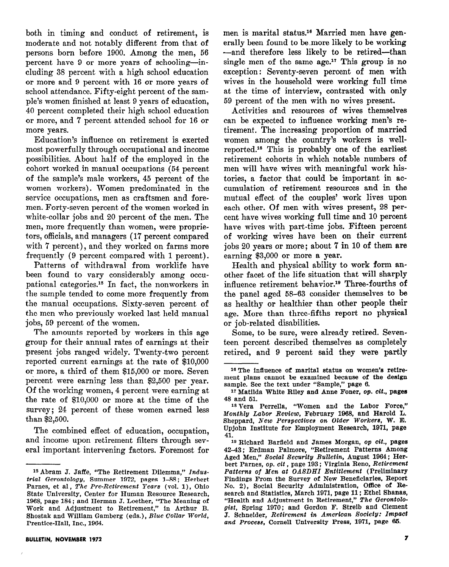both in timing and conduct of retirement, is moderate and not notably different from that of persons born before 1900. Among the men, 56 percent have 9 or more years of schooling-including 38 percent with a high school education or more and 9 percent with 16 or more years of school attendance. Fifty-eight percent of the sample's women finished at least 9 years of education, 40 percent completed their high school education or more, and 7 percent attended school for 16 or more years.

Education's influence on retirement is exerted most powerfully through occupational and income possibilities. About half of the employed in the cohort worked in manual occupations (54 percent of the sample's male workers, 45 percent of the women workers). Women predominated in the service occupations, men as craftsmen and foremen. Forty-seven percent of the women worked in white-collar jobs and 20 percent of the men. The men, more frequently than women, were proprietors, officials, and managers (17 percent compared with 7 percent), and they worked on farms more frequently (9 percent compared with 1 percent).

Patterns of withdrawal from worklife have been found to vary considerably among occupational categories.<sup>15</sup> In fact, the nonworkers in the sample tended to come more frequently from the manual occupations. Sixty-seven percent of the men who previously worked last held manual jobs, 59 percent of the women.

The amounts reported by workers in this age group for their annual rates of earnings at their present jobs ranged widely. Twenty-two percent reported current earnings at the rate of \$10,000 or more, a third of them \$15,000 or more. Seven percent were earning less than \$2,500 per year. Of the working women, 4 percent were earning at the rate of \$10,000 or more at the time of the survey; 24 percent of these women earned less than \$2,500.

The combined effect of education, occupation, and income upon retirement filters through several important intervening factors. Foremost for

men is marital status.<sup>16</sup> Married men have generally been found to be,more likely to be working -and therefore less likely to be retired-than single men of the same age.<sup>17</sup> This group is no exception: Seventy-seven percent of men with wives in the household were working full time at the time of interview, contrasted with only 59 percent of the men with no wives present.

Activities and resources of wives themselves can be expected to influence working men's retirement. The increasing proportion of married women among the country's workers is wellreported.'\* This is probably one of the earliest retirement cohorts in which notable numbers of men will have wives with meaningful work histories, a factor that could be important in accumulation of retirement resources and in the mutual effect of the couples' work lives upon each other. Of men with wives present, 28 percent have wives working full time and 10 percent have wives with part-time jobs. Fifteen percent of working wives have been on their current jobs 20 years or more ; about 7 in 10 of them are earning \$3,000 or more a year.

Health and physical ability to work form another facet of the life situation that will sharply influence retirement behavior.<sup>19</sup> Three-fourths of the panel aged 58-63 consider themselves to be as healthy or healthier than other people their age. More than three-fifths report no physical or job-related disabilities.

Some, to be sure, were already retired. Seventeen percent described themselves as completely retired, and 9 percent said they were partly

<sup>&</sup>lt;sup>15</sup> Abram J. Jaffe, "The Retirement Dilemma," Industrial Gerontology, Summer 1972, pages l-88; Herbert Parnes, et al, The Pre-Retirement Years (vol. 1), Ohio State University, Center for Human Resource Research, 1968, page 184; and Herman J. Loether, "The Meaning of Work and Adjustment to Retirement," in Arthur B. Shostak and William Gamberg (eds.), Blue Collar World, Prentice-Hall, Inc., 1064.

<sup>16</sup> The influence of marital status on women's retirement plans cannot be examined because of the design sample. See the text under "Sample," page 6.

<sup>1&#</sup>x27; Matilda White Riley and Anne Foner, op. cit., pages 48 and 61.

<sup>&</sup>lt;sup>18</sup> Vera Perrella, "Women and the Labor Force," Monthly Labor Review, February 1068, and Harold L. Sheppard, New Perspectives on Older Workers, W. E. Upjohn Institute for Employment Research, 1071, page 41.

<sup>19</sup> Richard Barfleld and James Morgan, op cit., pages 42-43 ; Erdman Palmore, "Retirement Patterns Among Aged Men," Social Security Bulletin, August 1964; Herbert Parnes, op. dt , page 103 ; Virginia Reno, Retirement Patterns of Men at OASDHI Entitlement (Preliminary Findings From the Survey of New Beneficiaries, Report No. 2), Social Security Administration, Office of Research and Statistics, March 1071, page 11; Ethel Shanas, "Health and Adjustment in Retirement," The Gerontologist. Spring 1970; and Gordon F. Streib and Clement J. Schneider, Retirement in American Society: Impact and Process, Cornell University Press, 1971, page 65.